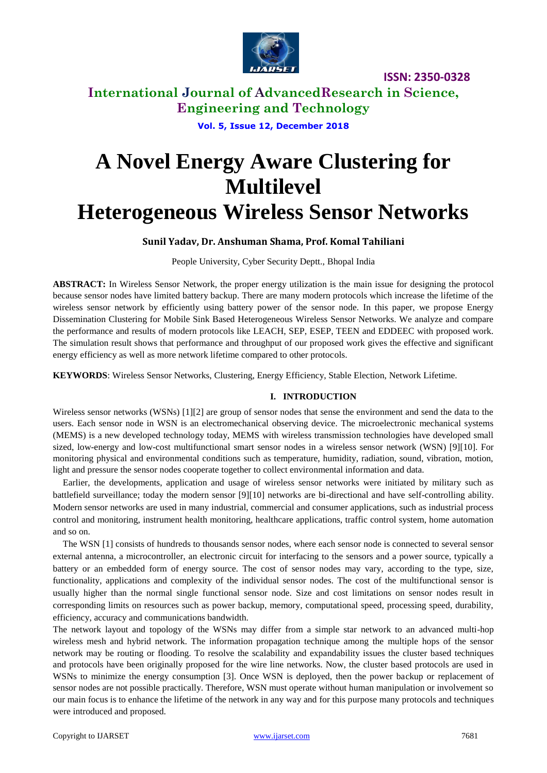

**ISSN: 2350-0328**

**International Journal of AdvancedResearch in Science, Engineering and Technology**

**Vol. 5, Issue 12, December 2018**

# **A Novel Energy Aware Clustering for Multilevel Heterogeneous Wireless Sensor Networks**

## **Sunil Yadav, Dr. Anshuman Shama, Prof. Komal Tahiliani**

People University, Cyber Security Deptt., Bhopal India

**ABSTRACT:** In Wireless Sensor Network, the proper energy utilization is the main issue for designing the protocol because sensor nodes have limited battery backup. There are many modern protocols which increase the lifetime of the wireless sensor network by efficiently using battery power of the sensor node. In this paper, we propose Energy Dissemination Clustering for Mobile Sink Based Heterogeneous Wireless Sensor Networks. We analyze and compare the performance and results of modern protocols like LEACH, SEP, ESEP, TEEN and EDDEEC with proposed work. The simulation result shows that performance and throughput of our proposed work gives the effective and significant energy efficiency as well as more network lifetime compared to other protocols.

**KEYWORDS**: Wireless Sensor Networks, Clustering, Energy Efficiency, Stable Election, Network Lifetime.

### **I. INTRODUCTION**

Wireless sensor networks (WSNs) [1][2] are group of sensor nodes that sense the environment and send the data to the users. Each sensor node in WSN is an electromechanical observing device. The microelectronic mechanical systems (MEMS) is a new developed technology today, MEMS with wireless transmission technologies have developed small sized, low-energy and low-cost multifunctional smart sensor nodes in a wireless sensor network (WSN) [9][10]. For monitoring physical and environmental conditions such as temperature, humidity, radiation, sound, vibration, motion, light and pressure the sensor nodes cooperate together to collect environmental information and data.

Earlier, the developments, application and usage of wireless sensor networks were initiated by military such as battlefield surveillance; today the modern sensor [9][10] networks are bi-directional and have self-controlling ability. Modern sensor networks are used in many industrial, commercial and consumer applications, such as industrial process control and monitoring, instrument health monitoring, healthcare applications, traffic control system, home automation and so on.

The WSN [1] consists of hundreds to thousands sensor nodes, where each sensor node is connected to several sensor external antenna, a microcontroller, an electronic circuit for interfacing to the sensors and a power source, typically a battery or an embedded form of energy source. The cost of sensor nodes may vary, according to the type, size, functionality, applications and complexity of the individual sensor nodes. The cost of the multifunctional sensor is usually higher than the normal single functional sensor node. Size and cost limitations on sensor nodes result in corresponding limits on resources such as power backup, memory, computational speed, processing speed, durability, efficiency, accuracy and communications bandwidth.

The network layout and topology of the WSNs may differ from a simple star network to an advanced multi-hop wireless mesh and hybrid network. The information propagation technique among the multiple hops of the sensor network may be routing or flooding. To resolve the scalability and expandability issues the cluster based techniques and protocols have been originally proposed for the wire line networks. Now, the cluster based protocols are used in WSNs to minimize the energy consumption [3]. Once WSN is deployed, then the power backup or replacement of sensor nodes are not possible practically. Therefore, WSN must operate without human manipulation or involvement so our main focus is to enhance the lifetime of the network in any way and for this purpose many protocols and techniques were introduced and proposed.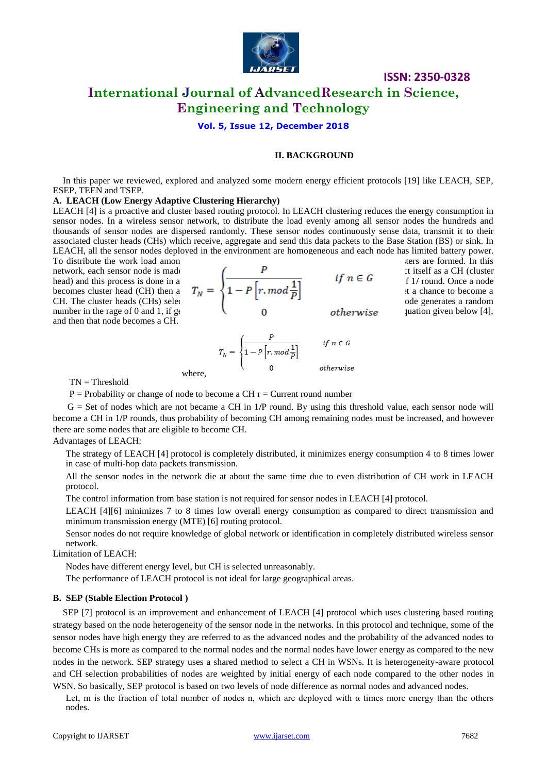

**Vol. 5, Issue 12, December 2018**

#### **II. BACKGROUND**

In this paper we reviewed, explored and analyzed some modern energy efficient protocols [19] like LEACH, SEP, ESEP, TEEN and TSEP.

#### **A. LEACH (Low Energy Adaptive Clustering Hierarchy)**

LEACH [4] is a proactive and cluster based routing protocol. In LEACH clustering reduces the energy consumption in sensor nodes. In a wireless sensor network, to distribute the load evenly among all sensor nodes the hundreds and thousands of sensor nodes are dispersed randomly. These sensor nodes continuously sense data, transmit it to their associated cluster heads (CHs) which receive, aggregate and send this data packets to the Base Station (BS) or sink. In LEACH, all the sensor nodes deployed in the environment are homogeneous and each node has limited battery power.

To distribute the work load among all nodes are formed. In this improve the network clusters are formed. In this and then that node becomes a CH.

network, each sensor node is made to be come CHS on the sensor turns and the randomly electronic itself as a CH (cluster head) and this process is done in a way that each of  $\overline{r}$  of  $\overline{r}$  **if**  $n \in G$  of 1/ round. Once a node becomes cluster head (CH) then again the same node  $T_N = \{1 - P \mid r \text{ mod } \frac{1}{R} \}$  at a chance to become a CH. The cluster heads (CHs) selection procedure is done on the probability of probability of probability  $\sim$  1. number in the rage of 0 and 1, if generated values than the equation given below [4],

$$
T_N = \begin{cases} \dfrac{P}{1 - P \left[ r \mod \frac{1}{P} \right]} & \text{if } n \in G \\ 0 & \text{otherwise} \end{cases}
$$

 $TN = Threshold$ 

 $P =$  Probability or change of node to become a CH  $r =$  Current round number

where,

G = Set of nodes which are not became a CH in 1**/**P round. By using this threshold value, each sensor node will become a CH in 1**/**P rounds, thus probability of becoming CH among remaining nodes must be increased, and however there are some nodes that are eligible to become CH.

### Advantages of LEACH:

The strategy of LEACH [4] protocol is completely distributed, it minimizes energy consumption 4 to 8 times lower in case of multi-hop data packets transmission.

All the sensor nodes in the network die at about the same time due to even distribution of CH work in LEACH protocol.

The control information from base station is not required for sensor nodes in LEACH [4] protocol.

LEACH [4][6] minimizes 7 to 8 times low overall energy consumption as compared to direct transmission and minimum transmission energy (MTE) [6] routing protocol.

Sensor nodes do not require knowledge of global network or identification in completely distributed wireless sensor network.

Limitation of LEACH:

Nodes have different energy level, but CH is selected unreasonably.

The performance of LEACH protocol is not ideal for large geographical areas.

#### **B. SEP (Stable Election Protocol )**

SEP [7] protocol is an improvement and enhancement of LEACH [4] protocol which uses clustering based routing strategy based on the node heterogeneity of the sensor node in the networks. In this protocol and technique, some of the sensor nodes have high energy they are referred to as the advanced nodes and the probability of the advanced nodes to become CHs is more as compared to the normal nodes and the normal nodes have lower energy as compared to the new nodes in the network. SEP strategy uses a shared method to select a CH in WSNs. It is heterogeneity-aware protocol and CH selection probabilities of nodes are weighted by initial energy of each node compared to the other nodes in WSN. So basically, SEP protocol is based on two levels of node difference as normal nodes and advanced nodes.

Let, m is the fraction of total number of nodes n, which are deployed with  $\alpha$  times more energy than the others nodes.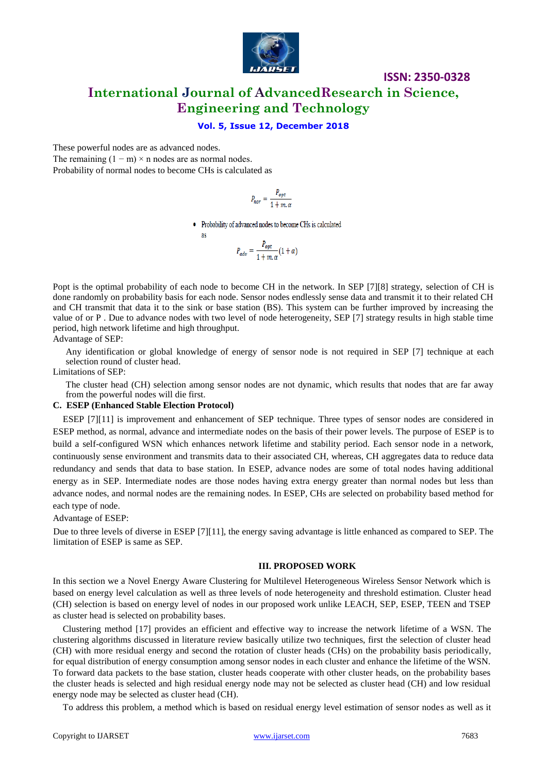

### **Vol. 5, Issue 12, December 2018**

These powerful nodes are as advanced nodes.

The remaining  $(1 - m) \times n$  nodes are as normal nodes. Probability of normal nodes to become CHs is calculated as

as

$$
P_{nor} = \frac{P_{opt}}{1 + m \cdot \alpha}
$$

• Probability of advanced nodes to become CHs is calculated

$$
P_{adv} = \frac{P_{opt}}{1 + m \cdot \alpha} (1 + \alpha)
$$

Popt is the optimal probability of each node to become CH in the network. In SEP [7][8] strategy, selection of CH is done randomly on probability basis for each node. Sensor nodes endlessly sense data and transmit it to their related CH and CH transmit that data it to the sink or base station (BS). This system can be further improved by increasing the value of or P . Due to advance nodes with two level of node heterogeneity, SEP [7] strategy results in high stable time period, high network lifetime and high throughput. Advantage of SEP:

Any identification or global knowledge of energy of sensor node is not required in SEP [7] technique at each selection round of cluster head.

Limitations of SEP:

The cluster head (CH) selection among sensor nodes are not dynamic, which results that nodes that are far away from the powerful nodes will die first.

### **C. ESEP (Enhanced Stable Election Protocol)**

ESEP [7][11] is improvement and enhancement of SEP technique. Three types of sensor nodes are considered in ESEP method, as normal, advance and intermediate nodes on the basis of their power levels. The purpose of ESEP is to build a self-configured WSN which enhances network lifetime and stability period. Each sensor node in a network, continuously sense environment and transmits data to their associated CH, whereas, CH aggregates data to reduce data redundancy and sends that data to base station. In ESEP, advance nodes are some of total nodes having additional energy as in SEP. Intermediate nodes are those nodes having extra energy greater than normal nodes but less than advance nodes, and normal nodes are the remaining nodes. In ESEP, CHs are selected on probability based method for each type of node.

Advantage of ESEP:

Due to three levels of diverse in ESEP [7][11], the energy saving advantage is little enhanced as compared to SEP. The limitation of ESEP is same as SEP.

### **III. PROPOSED WORK**

In this section we a Novel Energy Aware Clustering for Multilevel Heterogeneous Wireless Sensor Network which is based on energy level calculation as well as three levels of node heterogeneity and threshold estimation. Cluster head (CH) selection is based on energy level of nodes in our proposed work unlike LEACH, SEP, ESEP, TEEN and TSEP as cluster head is selected on probability bases.

Clustering method [17] provides an efficient and effective way to increase the network lifetime of a WSN. The clustering algorithms discussed in literature review basically utilize two techniques, first the selection of cluster head (CH) with more residual energy and second the rotation of cluster heads (CHs) on the probability basis periodically, for equal distribution of energy consumption among sensor nodes in each cluster and enhance the lifetime of the WSN. To forward data packets to the base station, cluster heads cooperate with other cluster heads, on the probability bases the cluster heads is selected and high residual energy node may not be selected as cluster head (CH) and low residual energy node may be selected as cluster head (CH).

To address this problem, a method which is based on residual energy level estimation of sensor nodes as well as it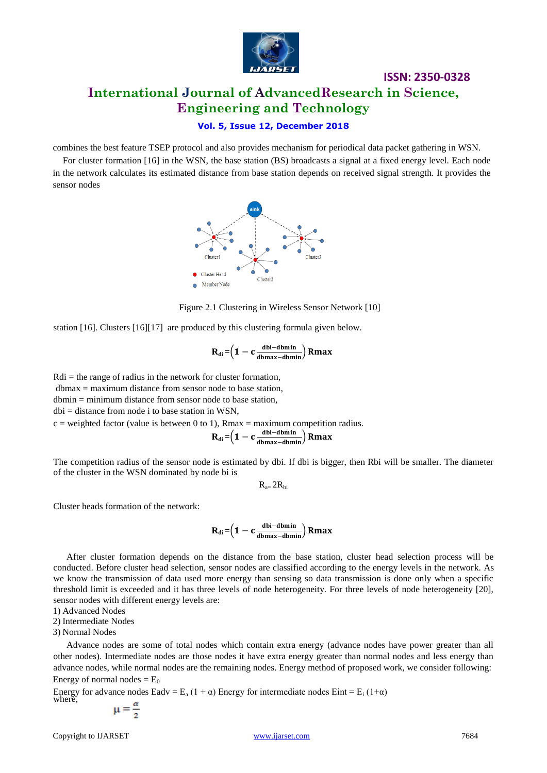

# **Vol. 5, Issue 12, December 2018**

combines the best feature TSEP protocol and also provides mechanism for periodical data packet gathering in WSN.

For cluster formation [16] in the WSN, the base station (BS) broadcasts a signal at a fixed energy level. Each node in the network calculates its estimated distance from base station depends on received signal strength. It provides the sensor nodes



Figure 2.1 Clustering in Wireless Sensor Network [10]

station [16]. Clusters [16][17] are produced by this clustering formula given below.

$$
R_{di} = \left(1 - c \frac{\text{dbi-dbmin}}{\text{dbmax-dbmin}}\right) Rmax
$$

 $Rdi =$  the range of radius in the network for cluster formation,

dbmax = maximum distance from sensor node to base station,

 $dbmin = minimum distance from sensor node to base station.$ 

 $dbi = distance from node i to base station in WSN,$ 

 $c =$  weighted factor (value is between 0 to 1), Rmax = maximum competition radius.

$$
R_{di} = \left(1 - c \frac{\text{dbi-dbmin}}{\text{dbmax-dbmin}}\right) Rmax
$$

The competition radius of the sensor node is estimated by dbi. If dbi is bigger, then Rbi will be smaller. The diameter of the cluster in the WSN dominated by node bi is

 $R_{a-}$   $2R_{bi}$ 

Cluster heads formation of the network:

$$
R_{di} \!=\!\! \left(1 - c \tfrac{\text{dbi} - \text{dbmin}}{\text{dbmax} - \text{dbmin}}\right) Rmax
$$

After cluster formation depends on the distance from the base station, cluster head selection process will be conducted. Before cluster head selection, sensor nodes are classified according to the energy levels in the network. As we know the transmission of data used more energy than sensing so data transmission is done only when a specific threshold limit is exceeded and it has three levels of node heterogeneity. For three levels of node heterogeneity [20], sensor nodes with different energy levels are:

1) Advanced Nodes

2) Intermediate Nodes

3) Normal Nodes

Advance nodes are some of total nodes which contain extra energy (advance nodes have power greater than all other nodes). Intermediate nodes are those nodes it have extra energy greater than normal nodes and less energy than advance nodes, while normal nodes are the remaining nodes. Energy method of proposed work, we consider following: Energy of normal nodes  $= E_0$ 

Energy for advance nodes Eadv = E<sub>a</sub> (1 +  $\alpha$ ) Energy for intermediate nodes Eint = E<sub>i</sub> (1+ $\alpha$ ) where

$$
\mu = \frac{\alpha}{2}
$$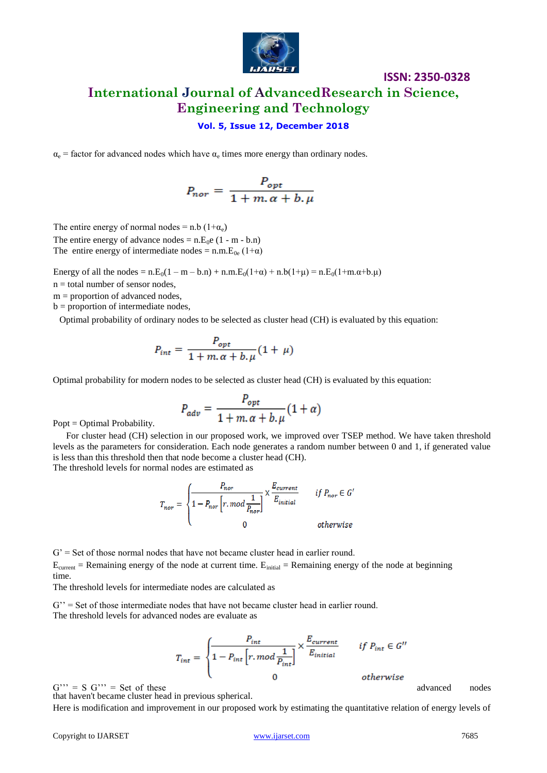

### **Vol. 5, Issue 12, December 2018**

 $\alpha_e$  = factor for advanced nodes which have  $\alpha_e$  times more energy than ordinary nodes.

$$
P_{nor} = \frac{P_{opt}}{1 + m \cdot \alpha + b \cdot \mu}
$$

The entire energy of normal nodes = n.b  $(1+\alpha_e)$ The entire energy of advance nodes =  $n.E_0e$  (1 - m - b.n) The entire energy of intermediate nodes = n.m. $E_{0e}$  (1+ $\alpha$ )

Energy of all the nodes =  $n.E_0(1 - m - b.n) + n.m.E_0(1 + \alpha) + n.b(1 + \mu) = n.E_0(1 + m.\alpha + b.\mu)$ 

 $n =$  total number of sensor nodes,

 $m =$  proportion of advanced nodes,

 $b =$  proportion of intermediate nodes,

Optimal probability of ordinary nodes to be selected as cluster head (CH) is evaluated by this equation:

$$
P_{int} = \frac{P_{opt}}{1 + m \cdot \alpha + b \cdot \mu} (1 + \mu)
$$

Optimal probability for modern nodes to be selected as cluster head (CH) is evaluated by this equation:

$$
P_{adv} = \frac{P_{opt}}{1 + m \cdot \alpha + b \cdot \mu} (1 + \alpha)
$$

Popt = Optimal Probability.

For cluster head (CH) selection in our proposed work, we improved over TSEP method. We have taken threshold levels as the parameters for consideration. Each node generates a random number between 0 and 1, if generated value is less than this threshold then that node become a cluster head (CH). The threshold levels for normal nodes are estimated as

$$
T_{nor} = \begin{cases} \frac{P_{nor}}{1 - P_{nor} \left[r, mod \frac{1}{P_{nor}}\right]} \times \frac{E_{current}}{E_{initial}} & \text{if } P_{nor} \in G' \\ 0 & \text{otherwise} \end{cases}
$$

 $G'$  = Set of those normal nodes that have not became cluster head in earlier round.  $E_{\text{current}}$  = Remaining energy of the node at current time.  $E_{\text{initial}}$  = Remaining energy of the node at beginning time.

The threshold levels for intermediate nodes are calculated as

 $G' =$  Set of those intermediate nodes that have not became cluster head in earlier round. The threshold levels for advanced nodes are evaluate as

$$
T_{int} = \begin{cases} \frac{P_{int}}{1 - P_{int} \left[ r \cdot mod \frac{1}{P_{int}} \right]} \times \frac{E_{current}}{E_{initial}} & \text{if } P_{int} \in G''\\ 0 & \text{otherwise} \end{cases}
$$

 $G'' = S G'' = Set of these$  advanced nodes

that haven't became cluster head in previous spherical.

Here is modification and improvement in our proposed work by estimating the quantitative relation of energy levels of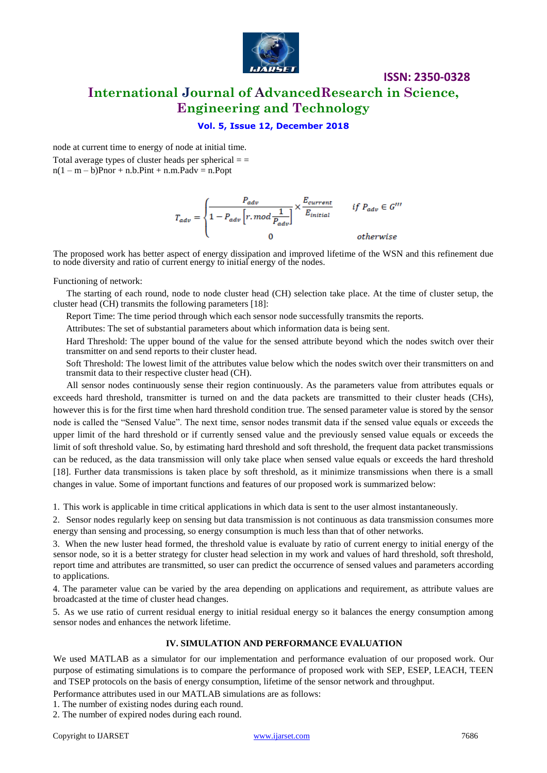

### **Vol. 5, Issue 12, December 2018**

node at current time to energy of node at initial time.

Total average types of cluster heads per spherical  $=$  $n(1 - m - b)$ Pnor + n.b.Pint + n.m.Padv = n.Popt

$$
T_{adv} = \begin{cases} \frac{P_{adv}}{1-P_{adv}\left[r,mod\frac{1}{P_{adv}}\right]} \times \frac{E_{current}}{E_{initial}} & \textit{if } P_{adv} \in G^{\prime\prime\prime} \\ 0 & \textit{otherwise} \end{cases}
$$

The proposed work has better aspect of energy dissipation and improved lifetime of the WSN and this refinement due to node diversity and ratio of current energy to initial energy of the nodes.

Functioning of network:

The starting of each round, node to node cluster head (CH) selection take place. At the time of cluster setup, the cluster head (CH) transmits the following parameters [18]:

Report Time: The time period through which each sensor node successfully transmits the reports.

Attributes: The set of substantial parameters about which information data is being sent.

Hard Threshold: The upper bound of the value for the sensed attribute beyond which the nodes switch over their transmitter on and send reports to their cluster head.

Soft Threshold: The lowest limit of the attributes value below which the nodes switch over their transmitters on and transmit data to their respective cluster head (CH).

All sensor nodes continuously sense their region continuously. As the parameters value from attributes equals or exceeds hard threshold, transmitter is turned on and the data packets are transmitted to their cluster heads (CHs), however this is for the first time when hard threshold condition true. The sensed parameter value is stored by the sensor node is called the "Sensed Value". The next time, sensor nodes transmit data if the sensed value equals or exceeds the upper limit of the hard threshold or if currently sensed value and the previously sensed value equals or exceeds the limit of soft threshold value. So, by estimating hard threshold and soft threshold, the frequent data packet transmissions can be reduced, as the data transmission will only take place when sensed value equals or exceeds the hard threshold [18]. Further data transmissions is taken place by soft threshold, as it minimize transmissions when there is a small changes in value. Some of important functions and features of our proposed work is summarized below:

1. This work is applicable in time critical applications in which data is sent to the user almost instantaneously.

2. Sensor nodes regularly keep on sensing but data transmission is not continuous as data transmission consumes more energy than sensing and processing, so energy consumption is much less than that of other networks.

3. When the new luster head formed, the threshold value is evaluate by ratio of current energy to initial energy of the sensor node, so it is a better strategy for cluster head selection in my work and values of hard threshold, soft threshold, report time and attributes are transmitted, so user can predict the occurrence of sensed values and parameters according to applications.

4. The parameter value can be varied by the area depending on applications and requirement, as attribute values are broadcasted at the time of cluster head changes.

5. As we use ratio of current residual energy to initial residual energy so it balances the energy consumption among sensor nodes and enhances the network lifetime.

### **IV. SIMULATION AND PERFORMANCE EVALUATION**

We used MATLAB as a simulator for our implementation and performance evaluation of our proposed work. Our purpose of estimating simulations is to compare the performance of proposed work with SEP, ESEP, LEACH, TEEN and TSEP protocols on the basis of energy consumption, lifetime of the sensor network and throughput.

Performance attributes used in our MATLAB simulations are as follows:

1. The number of existing nodes during each round.

2. The number of expired nodes during each round.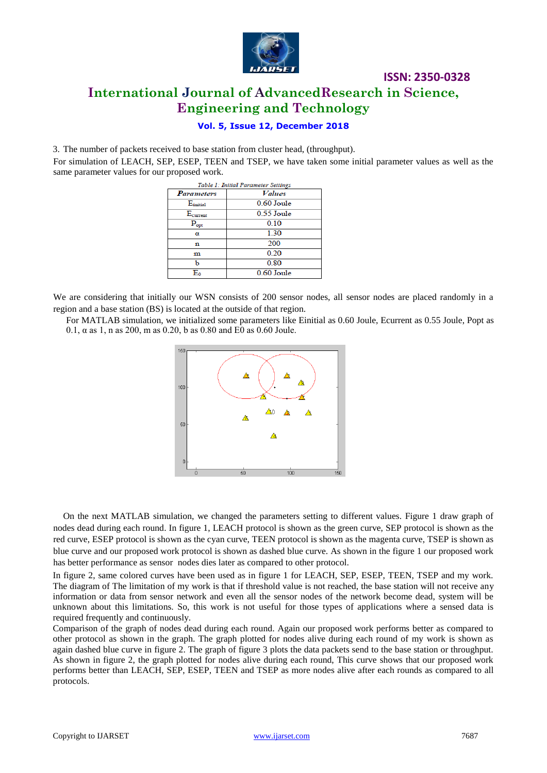

## **Vol. 5, Issue 12, December 2018**

3. The number of packets received to base station from cluster head, (throughput).

For simulation of LEACH, SEP, ESEP, TEEN and TSEP, we have taken some initial parameter values as well as the same parameter values for our proposed work.

| Table 1: Initial Parameter Settings |                      |
|-------------------------------------|----------------------|
| <b>Parameters</b>                   | <b><i>Values</i></b> |
| E <sub>initial</sub>                | 0.60 Joule           |
| E <sub>current</sub>                | $0.55$ Joule         |
| $P_{opt}$                           | 0.10                 |
| α                                   | 1.30                 |
| n                                   | 200                  |
| m                                   | 0.20                 |
| ь                                   | 0.80                 |
| E٥                                  | 0.60 Joule           |

We are considering that initially our WSN consists of 200 sensor nodes, all sensor nodes are placed randomly in a region and a base station (BS) is located at the outside of that region.

For MATLAB simulation, we initialized some parameters like Einitial as 0.60 Joule, Ecurrent as 0.55 Joule, Popt as 0.1, α as 1, n as 200, m as 0.20, b as 0.80 and  $E$ 0 as 0.60 Joule.



On the next MATLAB simulation, we changed the parameters setting to different values. Figure 1 draw graph of nodes dead during each round. In figure 1, LEACH protocol is shown as the green curve, SEP protocol is shown as the red curve, ESEP protocol is shown as the cyan curve, TEEN protocol is shown as the magenta curve, TSEP is shown as blue curve and our proposed work protocol is shown as dashed blue curve. As shown in the figure 1 our proposed work has better performance as sensor nodes dies later as compared to other protocol.

In figure 2, same colored curves have been used as in figure 1 for LEACH, SEP, ESEP, TEEN, TSEP and my work. The diagram of The limitation of my work is that if threshold value is not reached, the base station will not receive any information or data from sensor network and even all the sensor nodes of the network become dead, system will be unknown about this limitations. So, this work is not useful for those types of applications where a sensed data is required frequently and continuously.

Comparison of the graph of nodes dead during each round. Again our proposed work performs better as compared to other protocol as shown in the graph. The graph plotted for nodes alive during each round of my work is shown as again dashed blue curve in figure 2. The graph of figure 3 plots the data packets send to the base station or throughput. As shown in figure 2, the graph plotted for nodes alive during each round, This curve shows that our proposed work performs better than LEACH, SEP, ESEP, TEEN and TSEP as more nodes alive after each rounds as compared to all protocols.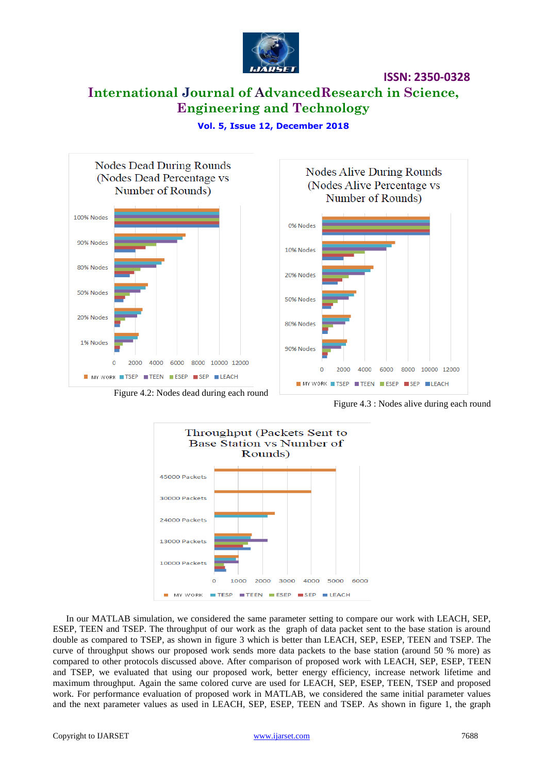

**ISSN: 2350-0328**

# **International Journal of AdvancedResearch in Science, Engineering and Technology**





Figure 4.2: Nodes dead during each round

Figure 4.3 : Nodes alive during each round



In our MATLAB simulation, we considered the same parameter setting to compare our work with LEACH, SEP, ESEP, TEEN and TSEP. The throughput of our work as the graph of data packet sent to the base station is around double as compared to TSEP, as shown in figure 3 which is better than LEACH, SEP, ESEP, TEEN and TSEP. The curve of throughput shows our proposed work sends more data packets to the base station (around 50 % more) as compared to other protocols discussed above. After comparison of proposed work with LEACH, SEP, ESEP, TEEN and TSEP, we evaluated that using our proposed work, better energy efficiency, increase network lifetime and maximum throughput. Again the same colored curve are used for LEACH, SEP, ESEP, TEEN, TSEP and proposed work. For performance evaluation of proposed work in MATLAB, we considered the same initial parameter values and the next parameter values as used in LEACH, SEP, ESEP, TEEN and TSEP. As shown in figure 1, the graph